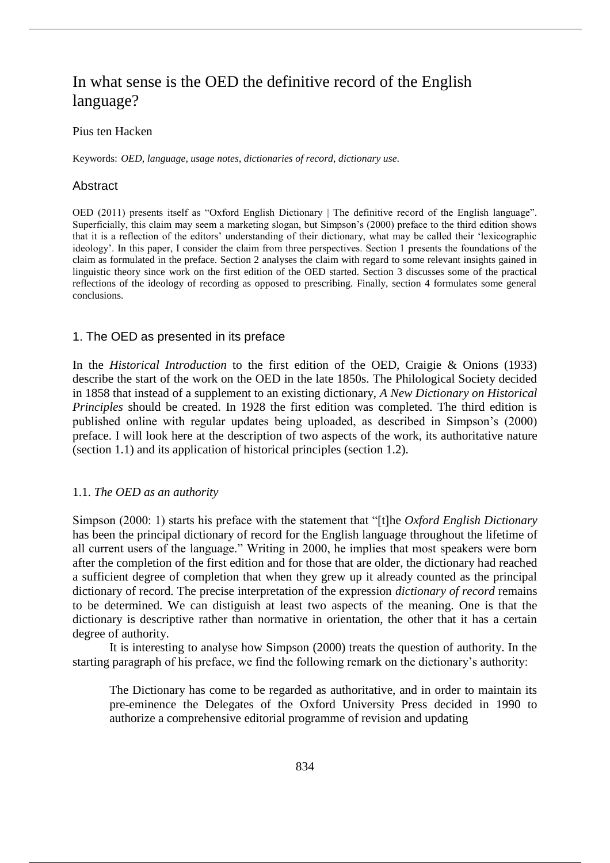# In what sense is the OED the definitive record of the English language?

## Pius ten Hacken

Keywords: *OED*, *language*, *usage notes*, *dictionaries of record*, *dictionary use*.

#### Abstract

OED (2011) presents itself as "Oxford English Dictionary | The definitive record of the English language". Superficially, this claim may seem a marketing slogan, but Simpson's (2000) preface to the third edition shows that it is a reflection of the editors' understanding of their dictionary, what may be called their 'lexicographic ideology'. In this paper, I consider the claim from three perspectives. Section 1 presents the foundations of the claim as formulated in the preface. Section 2 analyses the claim with regard to some relevant insights gained in linguistic theory since work on the first edition of the OED started. Section 3 discusses some of the practical reflections of the ideology of recording as opposed to prescribing. Finally, section 4 formulates some general conclusions.

#### 1. The OED as presented in its preface

In the *Historical Introduction* to the first edition of the OED, Craigie & Onions (1933) describe the start of the work on the OED in the late 1850s. The Philological Society decided in 1858 that instead of a supplement to an existing dictionary, *A New Dictionary on Historical Principles* should be created. In 1928 the first edition was completed. The third edition is published online with regular updates being uploaded, as described in Simpson's (2000) preface. I will look here at the description of two aspects of the work, its authoritative nature (section 1.1) and its application of historical principles (section 1.2).

### 1.1. *The OED as an authority*

Simpson (2000: 1) starts his preface with the statement that "[t]he *Oxford English Dictionary*  has been the principal dictionary of record for the English language throughout the lifetime of all current users of the language." Writing in 2000, he implies that most speakers were born after the completion of the first edition and for those that are older, the dictionary had reached a sufficient degree of completion that when they grew up it already counted as the principal dictionary of record. The precise interpretation of the expression *dictionary of record* remains to be determined. We can distiguish at least two aspects of the meaning. One is that the dictionary is descriptive rather than normative in orientation, the other that it has a certain degree of authority.

It is interesting to analyse how Simpson (2000) treats the question of authority. In the starting paragraph of his preface, we find the following remark on the dictionary's authority:

The Dictionary has come to be regarded as authoritative, and in order to maintain its pre-eminence the Delegates of the Oxford University Press decided in 1990 to authorize a comprehensive editorial programme of revision and updating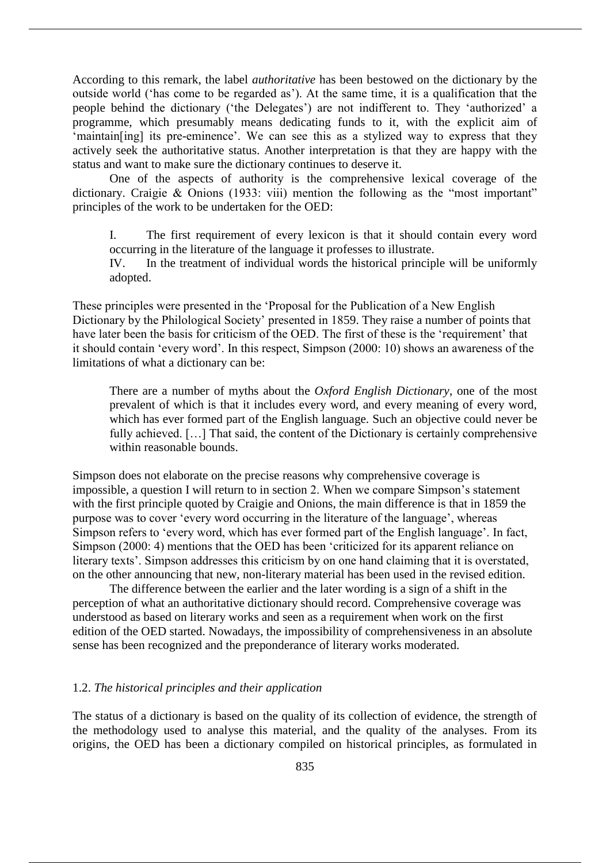According to this remark, the label *authoritative* has been bestowed on the dictionary by the outside world ('has come to be regarded as'). At the same time, it is a qualification that the people behind the dictionary ('the Delegates') are not indifferent to. They 'authorized' a programme, which presumably means dedicating funds to it, with the explicit aim of 'maintain[ing] its pre-eminence'. We can see this as a stylized way to express that they actively seek the authoritative status. Another interpretation is that they are happy with the status and want to make sure the dictionary continues to deserve it.

One of the aspects of authority is the comprehensive lexical coverage of the dictionary. Craigie & Onions (1933: viii) mention the following as the "most important" principles of the work to be undertaken for the OED:

I. The first requirement of every lexicon is that it should contain every word occurring in the literature of the language it professes to illustrate.

IV. In the treatment of individual words the historical principle will be uniformly adopted.

These principles were presented in the 'Proposal for the Publication of a New English Dictionary by the Philological Society' presented in 1859. They raise a number of points that have later been the basis for criticism of the OED. The first of these is the 'requirement' that it should contain 'every word'. In this respect, Simpson (2000: 10) shows an awareness of the limitations of what a dictionary can be:

There are a number of myths about the *Oxford English Dictionary*, one of the most prevalent of which is that it includes every word, and every meaning of every word, which has ever formed part of the English language. Such an objective could never be fully achieved. [...] That said, the content of the Dictionary is certainly comprehensive within reasonable bounds.

Simpson does not elaborate on the precise reasons why comprehensive coverage is impossible, a question I will return to in section 2. When we compare Simpson's statement with the first principle quoted by Craigie and Onions, the main difference is that in 1859 the purpose was to cover 'every word occurring in the literature of the language', whereas Simpson refers to 'every word, which has ever formed part of the English language'. In fact, Simpson (2000: 4) mentions that the OED has been 'criticized for its apparent reliance on literary texts'. Simpson addresses this criticism by on one hand claiming that it is overstated, on the other announcing that new, non-literary material has been used in the revised edition.

The difference between the earlier and the later wording is a sign of a shift in the perception of what an authoritative dictionary should record. Comprehensive coverage was understood as based on literary works and seen as a requirement when work on the first edition of the OED started. Nowadays, the impossibility of comprehensiveness in an absolute sense has been recognized and the preponderance of literary works moderated.

#### 1.2. *The historical principles and their application*

The status of a dictionary is based on the quality of its collection of evidence, the strength of the methodology used to analyse this material, and the quality of the analyses. From its origins, the OED has been a dictionary compiled on historical principles, as formulated in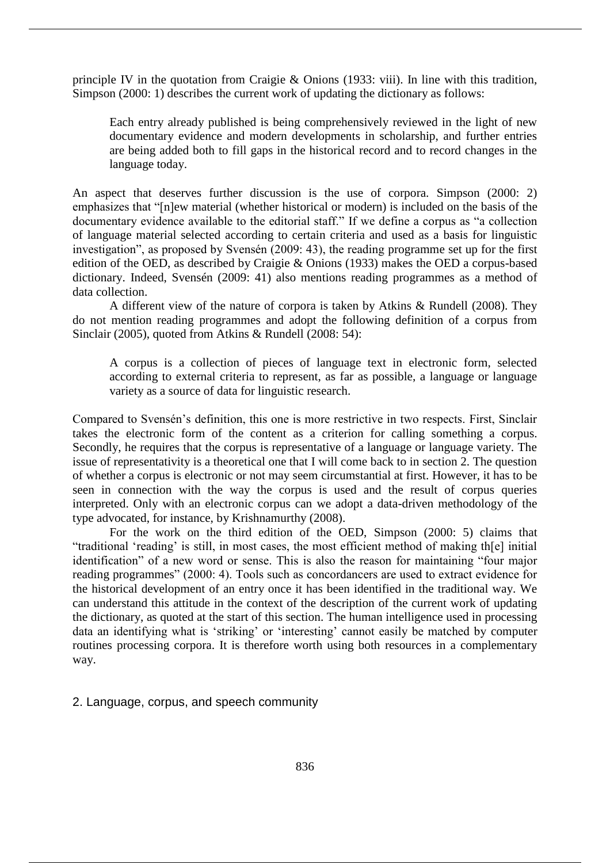principle IV in the quotation from Craigie  $\&$  Onions (1933: viii). In line with this tradition, Simpson (2000: 1) describes the current work of updating the dictionary as follows:

Each entry already published is being comprehensively reviewed in the light of new documentary evidence and modern developments in scholarship, and further entries are being added both to fill gaps in the historical record and to record changes in the language today.

An aspect that deserves further discussion is the use of corpora. Simpson (2000: 2) emphasizes that "[n]ew material (whether historical or modern) is included on the basis of the documentary evidence available to the editorial staff." If we define a corpus as "a collection of language material selected according to certain criteria and used as a basis for linguistic investigation", as proposed by Svensén (2009: 43), the reading programme set up for the first edition of the OED, as described by Craigie & Onions (1933) makes the OED a corpus-based dictionary. Indeed, Svensén (2009: 41) also mentions reading programmes as a method of data collection.

A different view of the nature of corpora is taken by Atkins & Rundell (2008). They do not mention reading programmes and adopt the following definition of a corpus from Sinclair (2005), quoted from Atkins & Rundell (2008: 54):

A corpus is a collection of pieces of language text in electronic form, selected according to external criteria to represent, as far as possible, a language or language variety as a source of data for linguistic research.

Compared to Svensén's definition, this one is more restrictive in two respects. First, Sinclair takes the electronic form of the content as a criterion for calling something a corpus. Secondly, he requires that the corpus is representative of a language or language variety. The issue of representativity is a theoretical one that I will come back to in section 2. The question of whether a corpus is electronic or not may seem circumstantial at first. However, it has to be seen in connection with the way the corpus is used and the result of corpus queries interpreted. Only with an electronic corpus can we adopt a data-driven methodology of the type advocated, for instance, by Krishnamurthy (2008).

For the work on the third edition of the OED, Simpson (2000: 5) claims that "traditional 'reading' is still, in most cases, the most efficient method of making th[e] initial identification" of a new word or sense. This is also the reason for maintaining "four major reading programmes" (2000: 4). Tools such as concordancers are used to extract evidence for the historical development of an entry once it has been identified in the traditional way. We can understand this attitude in the context of the description of the current work of updating the dictionary, as quoted at the start of this section. The human intelligence used in processing data an identifying what is 'striking' or 'interesting' cannot easily be matched by computer routines processing corpora. It is therefore worth using both resources in a complementary way.

2. Language, corpus, and speech community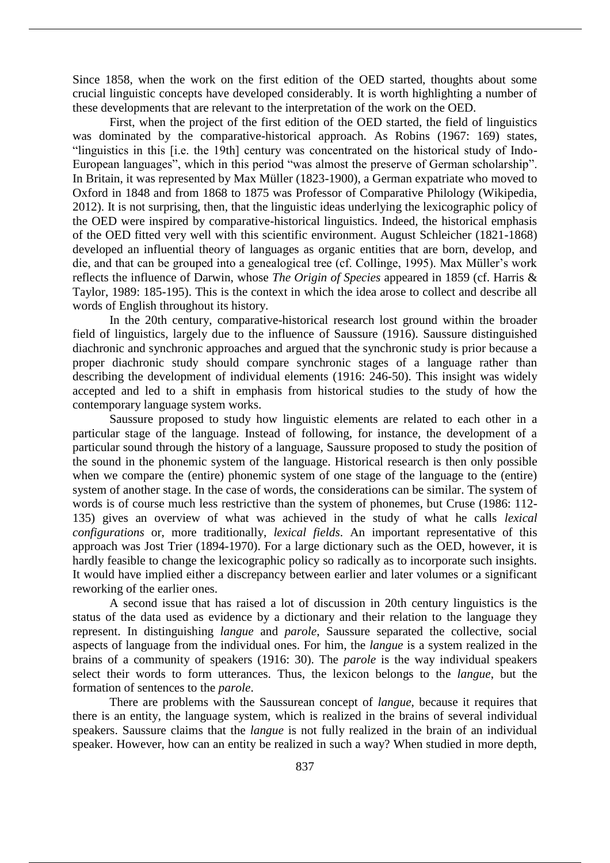Since 1858, when the work on the first edition of the OED started, thoughts about some crucial linguistic concepts have developed considerably. It is worth highlighting a number of these developments that are relevant to the interpretation of the work on the OED.

First, when the project of the first edition of the OED started, the field of linguistics was dominated by the comparative-historical approach. As Robins (1967: 169) states, "linguistics in this [i.e. the 19th] century was concentrated on the historical study of Indo-European languages", which in this period "was almost the preserve of German scholarship". In Britain, it was represented by Max Müller (1823-1900), a German expatriate who moved to Oxford in 1848 and from 1868 to 1875 was Professor of Comparative Philology (Wikipedia, 2012). It is not surprising, then, that the linguistic ideas underlying the lexicographic policy of the OED were inspired by comparative-historical linguistics. Indeed, the historical emphasis of the OED fitted very well with this scientific environment. August Schleicher (1821-1868) developed an influential theory of languages as organic entities that are born, develop, and die, and that can be grouped into a genealogical tree (cf. Collinge, 1995). Max Müller's work reflects the influence of Darwin, whose *The Origin of Species* appeared in 1859 (cf. Harris & Taylor, 1989: 185-195). This is the context in which the idea arose to collect and describe all words of English throughout its history.

In the 20th century, comparative-historical research lost ground within the broader field of linguistics, largely due to the influence of Saussure (1916). Saussure distinguished diachronic and synchronic approaches and argued that the synchronic study is prior because a proper diachronic study should compare synchronic stages of a language rather than describing the development of individual elements (1916: 246-50). This insight was widely accepted and led to a shift in emphasis from historical studies to the study of how the contemporary language system works.

Saussure proposed to study how linguistic elements are related to each other in a particular stage of the language. Instead of following, for instance, the development of a particular sound through the history of a language, Saussure proposed to study the position of the sound in the phonemic system of the language. Historical research is then only possible when we compare the (entire) phonemic system of one stage of the language to the (entire) system of another stage. In the case of words, the considerations can be similar. The system of words is of course much less restrictive than the system of phonemes, but Cruse (1986: 112- 135) gives an overview of what was achieved in the study of what he calls *lexical configurations* or, more traditionally, *lexical fields*. An important representative of this approach was Jost Trier (1894-1970). For a large dictionary such as the OED, however, it is hardly feasible to change the lexicographic policy so radically as to incorporate such insights. It would have implied either a discrepancy between earlier and later volumes or a significant reworking of the earlier ones.

A second issue that has raised a lot of discussion in 20th century linguistics is the status of the data used as evidence by a dictionary and their relation to the language they represent. In distinguishing *langue* and *parole*, Saussure separated the collective, social aspects of language from the individual ones. For him, the *langue* is a system realized in the brains of a community of speakers (1916: 30). The *parole* is the way individual speakers select their words to form utterances. Thus, the lexicon belongs to the *langue*, but the formation of sentences to the *parole*.

There are problems with the Saussurean concept of *langue*, because it requires that there is an entity, the language system, which is realized in the brains of several individual speakers. Saussure claims that the *langue* is not fully realized in the brain of an individual speaker. However, how can an entity be realized in such a way? When studied in more depth,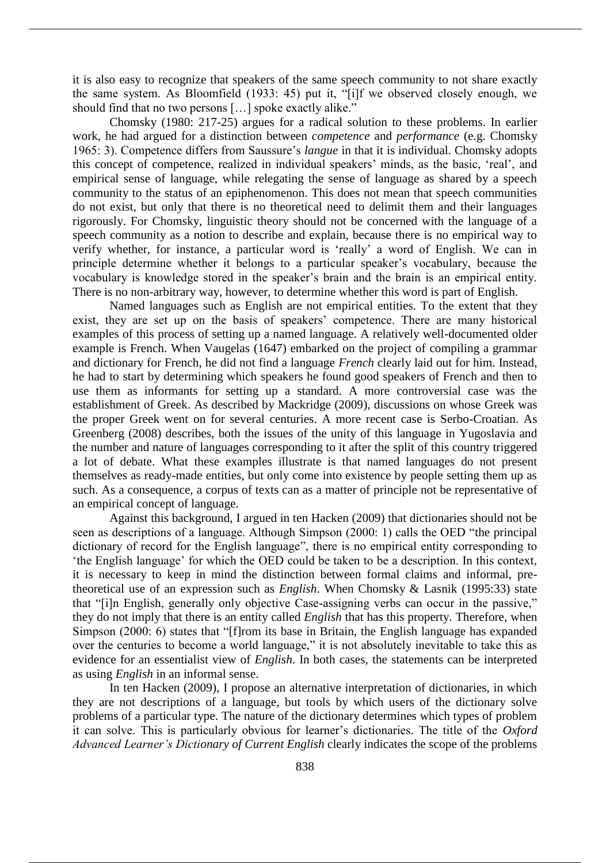it is also easy to recognize that speakers of the same speech community to not share exactly the same system. As Bloomfield (1933: 45) put it, "[i]f we observed closely enough, we should find that no two persons […] spoke exactly alike."

Chomsky (1980: 217-25) argues for a radical solution to these problems. In earlier work, he had argued for a distinction between *competence* and *performance* (e.g. Chomsky 1965: 3). Competence differs from Saussure's *langue* in that it is individual. Chomsky adopts this concept of competence, realized in individual speakers' minds, as the basic, 'real', and empirical sense of language, while relegating the sense of language as shared by a speech community to the status of an epiphenomenon. This does not mean that speech communities do not exist, but only that there is no theoretical need to delimit them and their languages rigorously. For Chomsky, linguistic theory should not be concerned with the language of a speech community as a notion to describe and explain, because there is no empirical way to verify whether, for instance, a particular word is 'really' a word of English. We can in principle determine whether it belongs to a particular speaker's vocabulary, because the vocabulary is knowledge stored in the speaker's brain and the brain is an empirical entity. There is no non-arbitrary way, however, to determine whether this word is part of English.

Named languages such as English are not empirical entities. To the extent that they exist, they are set up on the basis of speakers' competence. There are many historical examples of this process of setting up a named language. A relatively well-documented older example is French. When Vaugelas (1647) embarked on the project of compiling a grammar and dictionary for French, he did not find a language *French* clearly laid out for him. Instead, he had to start by determining which speakers he found good speakers of French and then to use them as informants for setting up a standard. A more controversial case was the establishment of Greek. As described by Mackridge (2009), discussions on whose Greek was the proper Greek went on for several centuries. A more recent case is Serbo-Croatian. As Greenberg (2008) describes, both the issues of the unity of this language in Yugoslavia and the number and nature of languages corresponding to it after the split of this country triggered a lot of debate. What these examples illustrate is that named languages do not present themselves as ready-made entities, but only come into existence by people setting them up as such. As a consequence, a corpus of texts can as a matter of principle not be representative of an empirical concept of language.

Against this background, I argued in ten Hacken (2009) that dictionaries should not be seen as descriptions of a language. Although Simpson (2000: 1) calls the OED "the principal dictionary of record for the English language", there is no empirical entity corresponding to 'the English language' for which the OED could be taken to be a description. In this context, it is necessary to keep in mind the distinction between formal claims and informal, pretheoretical use of an expression such as *English*. When Chomsky & Lasnik (1995:33) state that "[i]n English, generally only objective Case-assigning verbs can occur in the passive," they do not imply that there is an entity called *English* that has this property. Therefore, when Simpson (2000: 6) states that "[f]rom its base in Britain, the English language has expanded over the centuries to become a world language," it is not absolutely inevitable to take this as evidence for an essentialist view of *English*. In both cases, the statements can be interpreted as using *English* in an informal sense.

In ten Hacken (2009), I propose an alternative interpretation of dictionaries, in which they are not descriptions of a language, but tools by which users of the dictionary solve problems of a particular type. The nature of the dictionary determines which types of problem it can solve. This is particularly obvious for learner's dictionaries. The title of the *Oxford Advanced Learner's Dictionary of Current English* clearly indicates the scope of the problems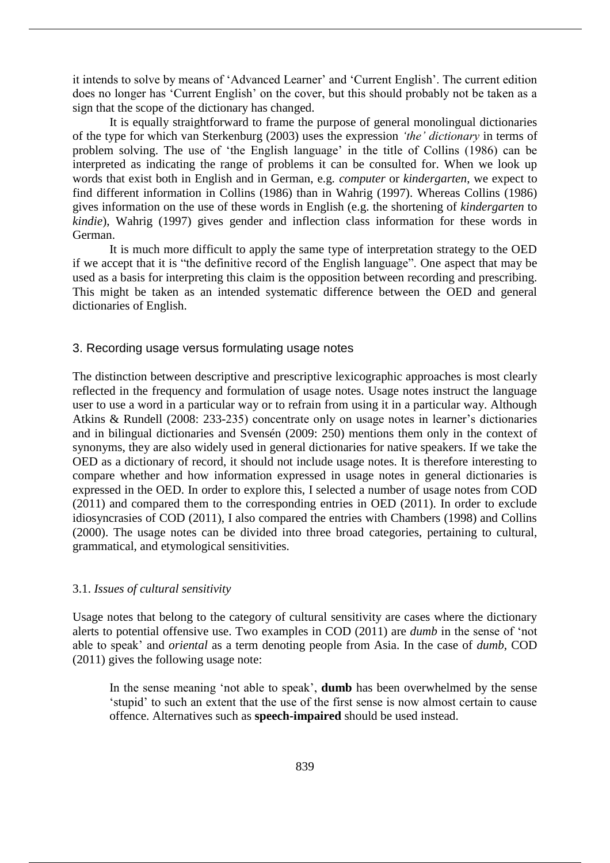it intends to solve by means of 'Advanced Learner' and 'Current English'. The current edition does no longer has 'Current English' on the cover, but this should probably not be taken as a sign that the scope of the dictionary has changed.

It is equally straightforward to frame the purpose of general monolingual dictionaries of the type for which van Sterkenburg (2003) uses the expression *'the' dictionary* in terms of problem solving. The use of 'the English language' in the title of Collins (1986) can be interpreted as indicating the range of problems it can be consulted for. When we look up words that exist both in English and in German, e.g. *computer* or *kindergarten*, we expect to find different information in Collins (1986) than in Wahrig (1997). Whereas Collins (1986) gives information on the use of these words in English (e.g. the shortening of *kindergarten* to *kindie*), Wahrig (1997) gives gender and inflection class information for these words in German.

It is much more difficult to apply the same type of interpretation strategy to the OED if we accept that it is "the definitive record of the English language". One aspect that may be used as a basis for interpreting this claim is the opposition between recording and prescribing. This might be taken as an intended systematic difference between the OED and general dictionaries of English.

### 3. Recording usage versus formulating usage notes

The distinction between descriptive and prescriptive lexicographic approaches is most clearly reflected in the frequency and formulation of usage notes. Usage notes instruct the language user to use a word in a particular way or to refrain from using it in a particular way. Although Atkins & Rundell (2008: 233-235) concentrate only on usage notes in learner's dictionaries and in bilingual dictionaries and Svensén (2009: 250) mentions them only in the context of synonyms, they are also widely used in general dictionaries for native speakers. If we take the OED as a dictionary of record, it should not include usage notes. It is therefore interesting to compare whether and how information expressed in usage notes in general dictionaries is expressed in the OED. In order to explore this, I selected a number of usage notes from COD (2011) and compared them to the corresponding entries in OED (2011). In order to exclude idiosyncrasies of COD (2011), I also compared the entries with Chambers (1998) and Collins (2000). The usage notes can be divided into three broad categories, pertaining to cultural, grammatical, and etymological sensitivities.

### 3.1. *Issues of cultural sensitivity*

Usage notes that belong to the category of cultural sensitivity are cases where the dictionary alerts to potential offensive use. Two examples in COD (2011) are *dumb* in the sense of 'not able to speak' and *oriental* as a term denoting people from Asia. In the case of *dumb*, COD (2011) gives the following usage note:

In the sense meaning 'not able to speak', **dumb** has been overwhelmed by the sense 'stupid' to such an extent that the use of the first sense is now almost certain to cause offence. Alternatives such as **speech-impaired** should be used instead.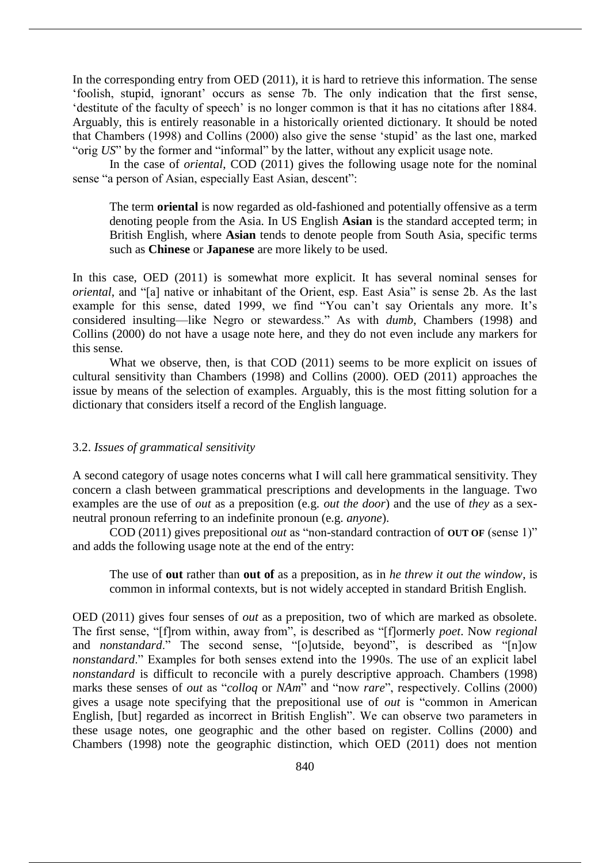In the corresponding entry from OED (2011), it is hard to retrieve this information. The sense 'foolish, stupid, ignorant' occurs as sense 7b. The only indication that the first sense, 'destitute of the faculty of speech' is no longer common is that it has no citations after 1884. Arguably, this is entirely reasonable in a historically oriented dictionary. It should be noted that Chambers (1998) and Collins (2000) also give the sense 'stupid' as the last one, marked "orig *US*" by the former and "informal" by the latter, without any explicit usage note.

In the case of *oriental*, COD (2011) gives the following usage note for the nominal sense "a person of Asian, especially East Asian, descent":

The term **oriental** is now regarded as old-fashioned and potentially offensive as a term denoting people from the Asia. In US English **Asian** is the standard accepted term; in British English, where **Asian** tends to denote people from South Asia, specific terms such as **Chinese** or **Japanese** are more likely to be used.

In this case, OED (2011) is somewhat more explicit. It has several nominal senses for *oriental*, and "[a] native or inhabitant of the Orient, esp. East Asia" is sense 2b. As the last example for this sense, dated 1999, we find "You can't say Orientals any more. It's considered insulting—like Negro or stewardess." As with *dumb*, Chambers (1998) and Collins (2000) do not have a usage note here, and they do not even include any markers for this sense.

What we observe, then, is that COD (2011) seems to be more explicit on issues of cultural sensitivity than Chambers (1998) and Collins (2000). OED (2011) approaches the issue by means of the selection of examples. Arguably, this is the most fitting solution for a dictionary that considers itself a record of the English language.

#### 3.2. *Issues of grammatical sensitivity*

A second category of usage notes concerns what I will call here grammatical sensitivity. They concern a clash between grammatical prescriptions and developments in the language. Two examples are the use of *out* as a preposition (e.g. *out the door*) and the use of *they* as a sexneutral pronoun referring to an indefinite pronoun (e.g. *anyone*).

COD (2011) gives prepositional *out* as "non-standard contraction of **OUT OF** (sense 1)" and adds the following usage note at the end of the entry:

The use of **out** rather than **out of** as a preposition, as in *he threw it out the window*, is common in informal contexts, but is not widely accepted in standard British English.

OED (2011) gives four senses of *out* as a preposition, two of which are marked as obsolete. The first sense, "[f]rom within, away from", is described as "[f]ormerly *poet*. Now *regional* and *nonstandard*." The second sense, "[o]utside, beyond", is described as "[n]ow *nonstandard*." Examples for both senses extend into the 1990s. The use of an explicit label *nonstandard* is difficult to reconcile with a purely descriptive approach. Chambers (1998) marks these senses of *out* as "*colloq* or *NAm*" and "now *rare*", respectively. Collins (2000) gives a usage note specifying that the prepositional use of *out* is "common in American English, [but] regarded as incorrect in British English". We can observe two parameters in these usage notes, one geographic and the other based on register. Collins (2000) and Chambers (1998) note the geographic distinction, which OED (2011) does not mention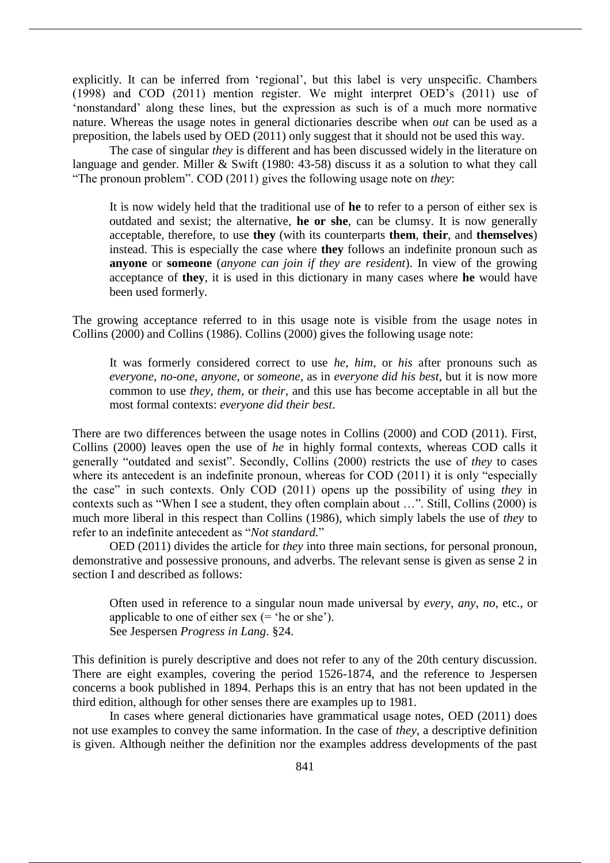explicitly. It can be inferred from 'regional', but this label is very unspecific. Chambers (1998) and COD (2011) mention register. We might interpret OED's (2011) use of 'nonstandard' along these lines, but the expression as such is of a much more normative nature. Whereas the usage notes in general dictionaries describe when *out* can be used as a preposition, the labels used by OED (2011) only suggest that it should not be used this way.

The case of singular *they* is different and has been discussed widely in the literature on language and gender. Miller & Swift (1980: 43-58) discuss it as a solution to what they call "The pronoun problem". COD (2011) gives the following usage note on *they*:

It is now widely held that the traditional use of **he** to refer to a person of either sex is outdated and sexist; the alternative, **he or she**, can be clumsy. It is now generally acceptable, therefore, to use **they** (with its counterparts **them**, **their**, and **themselves**) instead. This is especially the case where **they** follows an indefinite pronoun such as **anyone** or **someone** (*anyone can join if they are resident*). In view of the growing acceptance of **they**, it is used in this dictionary in many cases where **he** would have been used formerly.

The growing acceptance referred to in this usage note is visible from the usage notes in Collins (2000) and Collins (1986). Collins (2000) gives the following usage note:

It was formerly considered correct to use *he*, *him*, or *his* after pronouns such as *everyone*, *no-one*, *anyone*, or *someone*, as in *everyone did his best*, but it is now more common to use *they*, *them*, or *their*, and this use has become acceptable in all but the most formal contexts: *everyone did their best*.

There are two differences between the usage notes in Collins (2000) and COD (2011). First, Collins (2000) leaves open the use of *he* in highly formal contexts, whereas COD calls it generally "outdated and sexist". Secondly, Collins (2000) restricts the use of *they* to cases where its antecedent is an indefinite pronoun, whereas for COD (2011) it is only "especially the case" in such contexts. Only COD (2011) opens up the possibility of using *they* in contexts such as "When I see a student, they often complain about …". Still, Collins (2000) is much more liberal in this respect than Collins (1986), which simply labels the use of *they* to refer to an indefinite antecedent as "*Not standard.*"

OED (2011) divides the article for *they* into three main sections, for personal pronoun, demonstrative and possessive pronouns, and adverbs. The relevant sense is given as sense 2 in section I and described as follows:

Often used in reference to a singular noun made universal by *every*, *any*, *no*, etc., or applicable to one of either sex (= 'he or she'). See Jespersen *Progress in Lang*. §24.

This definition is purely descriptive and does not refer to any of the 20th century discussion. There are eight examples, covering the period 1526-1874, and the reference to Jespersen concerns a book published in 1894. Perhaps this is an entry that has not been updated in the third edition, although for other senses there are examples up to 1981.

In cases where general dictionaries have grammatical usage notes, OED (2011) does not use examples to convey the same information. In the case of *they*, a descriptive definition is given. Although neither the definition nor the examples address developments of the past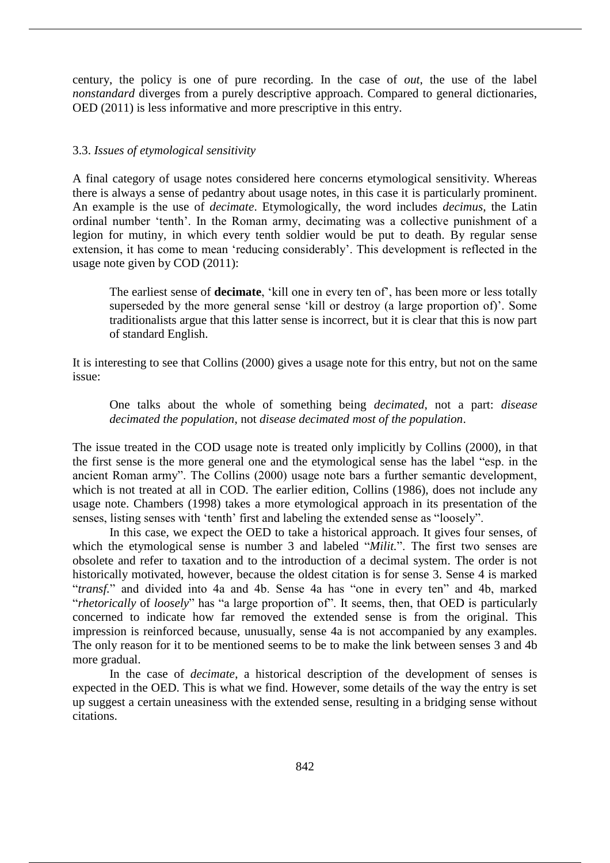century, the policy is one of pure recording. In the case of *out*, the use of the label *nonstandard* diverges from a purely descriptive approach. Compared to general dictionaries, OED (2011) is less informative and more prescriptive in this entry.

## 3.3. *Issues of etymological sensitivity*

A final category of usage notes considered here concerns etymological sensitivity. Whereas there is always a sense of pedantry about usage notes, in this case it is particularly prominent. An example is the use of *decimate*. Etymologically, the word includes *decimus*, the Latin ordinal number 'tenth'. In the Roman army, decimating was a collective punishment of a legion for mutiny, in which every tenth soldier would be put to death. By regular sense extension, it has come to mean 'reducing considerably'. This development is reflected in the usage note given by COD (2011):

The earliest sense of **decimate**, 'kill one in every ten of', has been more or less totally superseded by the more general sense 'kill or destroy (a large proportion of)'. Some traditionalists argue that this latter sense is incorrect, but it is clear that this is now part of standard English.

It is interesting to see that Collins (2000) gives a usage note for this entry, but not on the same issue:

One talks about the whole of something being *decimated*, not a part: *disease decimated the population*, not *disease decimated most of the population*.

The issue treated in the COD usage note is treated only implicitly by Collins (2000), in that the first sense is the more general one and the etymological sense has the label "esp. in the ancient Roman army". The Collins (2000) usage note bars a further semantic development, which is not treated at all in COD. The earlier edition, Collins (1986), does not include any usage note. Chambers (1998) takes a more etymological approach in its presentation of the senses, listing senses with 'tenth' first and labeling the extended sense as "loosely".

In this case, we expect the OED to take a historical approach. It gives four senses, of which the etymological sense is number 3 and labeled "*Milit.*". The first two senses are obsolete and refer to taxation and to the introduction of a decimal system. The order is not historically motivated, however, because the oldest citation is for sense 3. Sense 4 is marked "*transf.*" and divided into 4a and 4b. Sense 4a has "one in every ten" and 4b, marked "*rhetorically* of *loosely*" has "a large proportion of". It seems, then, that OED is particularly concerned to indicate how far removed the extended sense is from the original. This impression is reinforced because, unusually, sense 4a is not accompanied by any examples. The only reason for it to be mentioned seems to be to make the link between senses 3 and 4b more gradual.

In the case of *decimate*, a historical description of the development of senses is expected in the OED. This is what we find. However, some details of the way the entry is set up suggest a certain uneasiness with the extended sense, resulting in a bridging sense without citations.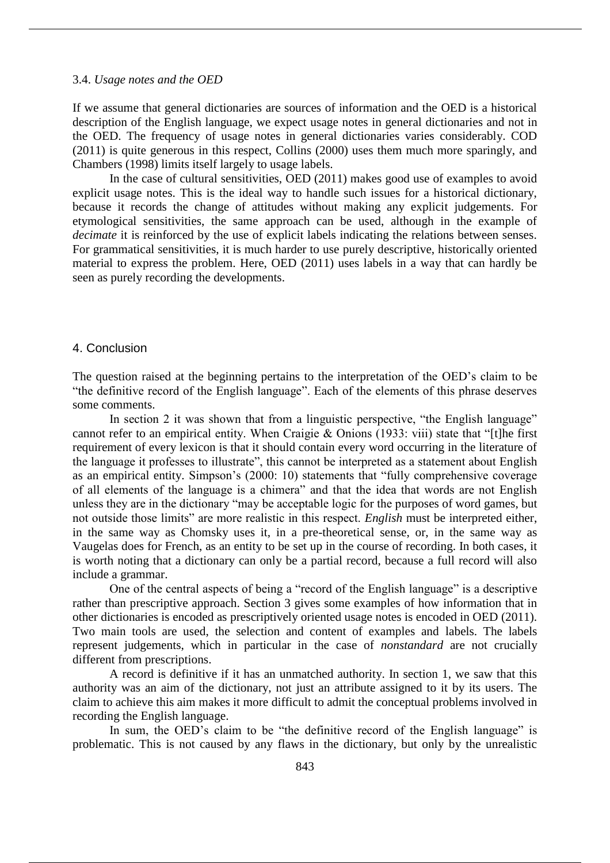#### 3.4. *Usage notes and the OED*

If we assume that general dictionaries are sources of information and the OED is a historical description of the English language, we expect usage notes in general dictionaries and not in the OED. The frequency of usage notes in general dictionaries varies considerably. COD (2011) is quite generous in this respect, Collins (2000) uses them much more sparingly, and Chambers (1998) limits itself largely to usage labels.

In the case of cultural sensitivities, OED (2011) makes good use of examples to avoid explicit usage notes. This is the ideal way to handle such issues for a historical dictionary, because it records the change of attitudes without making any explicit judgements. For etymological sensitivities, the same approach can be used, although in the example of *decimate* it is reinforced by the use of explicit labels indicating the relations between senses. For grammatical sensitivities, it is much harder to use purely descriptive, historically oriented material to express the problem. Here, OED (2011) uses labels in a way that can hardly be seen as purely recording the developments.

## 4. Conclusion

The question raised at the beginning pertains to the interpretation of the OED's claim to be "the definitive record of the English language". Each of the elements of this phrase deserves some comments.

In section 2 it was shown that from a linguistic perspective, "the English language" cannot refer to an empirical entity. When Craigie & Onions (1933: viii) state that "[t]he first requirement of every lexicon is that it should contain every word occurring in the literature of the language it professes to illustrate", this cannot be interpreted as a statement about English as an empirical entity. Simpson's (2000: 10) statements that "fully comprehensive coverage of all elements of the language is a chimera" and that the idea that words are not English unless they are in the dictionary "may be acceptable logic for the purposes of word games, but not outside those limits" are more realistic in this respect. *English* must be interpreted either, in the same way as Chomsky uses it, in a pre-theoretical sense, or, in the same way as Vaugelas does for French, as an entity to be set up in the course of recording. In both cases, it is worth noting that a dictionary can only be a partial record, because a full record will also include a grammar.

One of the central aspects of being a "record of the English language" is a descriptive rather than prescriptive approach. Section 3 gives some examples of how information that in other dictionaries is encoded as prescriptively oriented usage notes is encoded in OED (2011). Two main tools are used, the selection and content of examples and labels. The labels represent judgements, which in particular in the case of *nonstandard* are not crucially different from prescriptions.

A record is definitive if it has an unmatched authority. In section 1, we saw that this authority was an aim of the dictionary, not just an attribute assigned to it by its users. The claim to achieve this aim makes it more difficult to admit the conceptual problems involved in recording the English language.

In sum, the OED's claim to be "the definitive record of the English language" is problematic. This is not caused by any flaws in the dictionary, but only by the unrealistic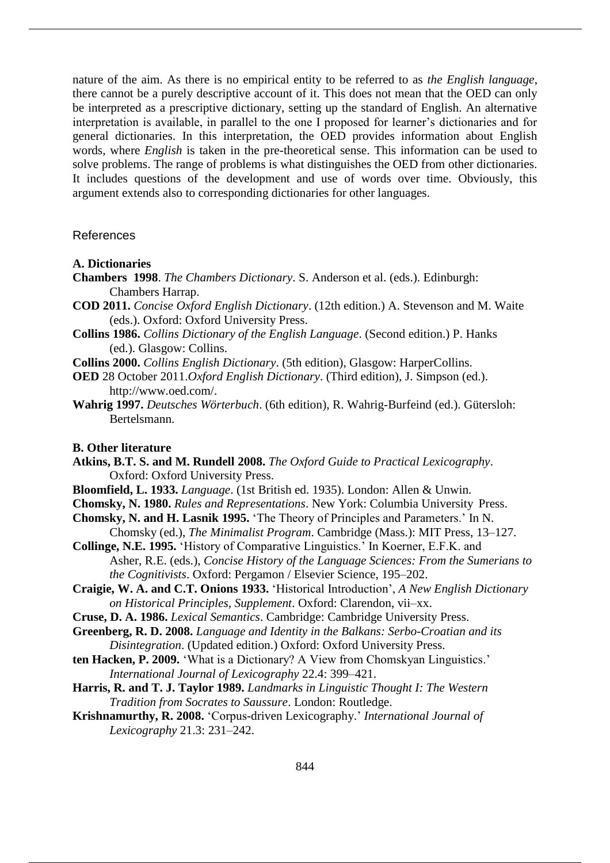nature of the aim. As there is no empirical entity to be referred to as *the English language*, there cannot be a purely descriptive account of it. This does not mean that the OED can only be interpreted as a prescriptive dictionary, setting up the standard of English. An alternative interpretation is available, in parallel to the one I proposed for learner's dictionaries and for general dictionaries. In this interpretation, the OED provides information about English words, where *English* is taken in the pre-theoretical sense. This information can be used to solve problems. The range of problems is what distinguishes the OED from other dictionaries. It includes questions of the development and use of words over time. Obviously, this argument extends also to corresponding dictionaries for other languages.

#### References

- **A. Dictionaries**
- **Chambers 1998**. *The Chambers Dictionary*. S. Anderson et al. (eds.). Edinburgh: Chambers Harrap.
- **COD 2011.** *Concise Oxford English Dictionary*. (12th edition.) A. Stevenson and M. Waite (eds.). Oxford: Oxford University Press.
- **Collins 1986.** *Collins Dictionary of the English Language*. (Second edition.) P. Hanks (ed.). Glasgow: Collins.
- **Collins 2000.** *Collins English Dictionary*. (5th edition), Glasgow: HarperCollins.
- **OED** 28 October 2011.*Oxford English Dictionary*. (Third edition), J. Simpson (ed.). http://www.oed.com/.
- **Wahrig 1997.** *Deutsches Wörterbuch*. (6th edition), R. Wahrig-Burfeind (ed.). Gütersloh: Bertelsmann.

#### **B. Other literature**

- **Atkins, B.T. S. and M. Rundell 2008.** *The Oxford Guide to Practical Lexicography*. Oxford: Oxford University Press.
- **Bloomfield, L. 1933.** *Language*. (1st British ed. 1935). London: Allen & Unwin.
- **Chomsky, N. 1980.** *Rules and Representations*. New York: Columbia University Press.
- **Chomsky, N. and H. Lasnik 1995.** 'The Theory of Principles and Parameters.' In N.
- Chomsky (ed.), *The Minimalist Program*. Cambridge (Mass.): MIT Press, 13–127. **Collinge, N.E. 1995.** 'History of Comparative Linguistics.' In Koerner, E.F.K. and
- Asher, R.E. (eds.), *Concise History of the Language Sciences: From the Sumerians to the Cognitivists*. Oxford: Pergamon / Elsevier Science, 195–202.
- **Craigie, W. A. and C.T. Onions 1933.** 'Historical Introduction', *A New English Dictionary on Historical Principles, Supplement*. Oxford: Clarendon, vii–xx.
- **Cruse, D. A. 1986.** *Lexical Semantics*. Cambridge: Cambridge University Press.
- **Greenberg, R. D. 2008.** *Language and Identity in the Balkans: Serbo-Croatian and its Disintegration*. (Updated edition.) Oxford: Oxford University Press.
- **ten Hacken, P. 2009.** 'What is a Dictionary? A View from Chomskyan Linguistics.' *International Journal of Lexicography* 22.4: 399–421.
- **Harris, R. and T. J. Taylor 1989.** *Landmarks in Linguistic Thought I: The Western Tradition from Socrates to Saussure*. London: Routledge.
- **Krishnamurthy, R. 2008.** 'Corpus-driven Lexicography.' *International Journal of Lexicography* 21.3: 231–242.